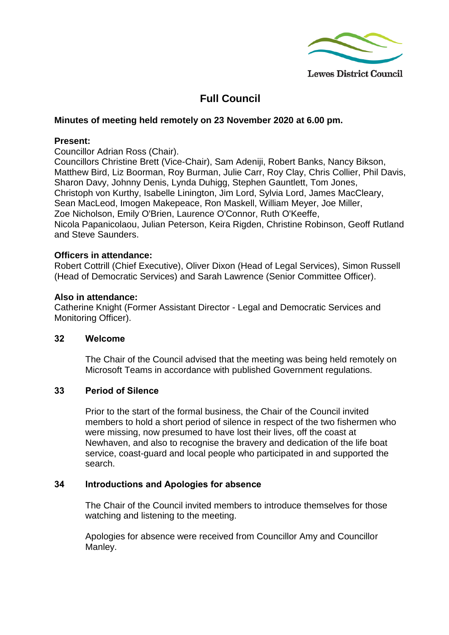

# **Full Council**

### **Minutes of meeting held remotely on 23 November 2020 at 6.00 pm.**

### **Present:**

Councillor Adrian Ross (Chair).

Councillors Christine Brett (Vice-Chair), Sam Adeniji, Robert Banks, Nancy Bikson, Matthew Bird, Liz Boorman, Roy Burman, Julie Carr, Roy Clay, Chris Collier, Phil Davis, Sharon Davy, Johnny Denis, Lynda Duhigg, Stephen Gauntlett, Tom Jones, Christoph von Kurthy, Isabelle Linington, Jim Lord, Sylvia Lord, James MacCleary, Sean MacLeod, Imogen Makepeace, Ron Maskell, William Meyer, Joe Miller, Zoe Nicholson, Emily O'Brien, Laurence O'Connor, Ruth O'Keeffe, Nicola Papanicolaou, Julian Peterson, Keira Rigden, Christine Robinson, Geoff Rutland and Steve Saunders.

#### **Officers in attendance:**

Robert Cottrill (Chief Executive), Oliver Dixon (Head of Legal Services), Simon Russell (Head of Democratic Services) and Sarah Lawrence (Senior Committee Officer).

#### **Also in attendance:**

Catherine Knight (Former Assistant Director - Legal and Democratic Services and Monitoring Officer).

#### **32 Welcome**

The Chair of the Council advised that the meeting was being held remotely on Microsoft Teams in accordance with published Government regulations.

#### **33 Period of Silence**

Prior to the start of the formal business, the Chair of the Council invited members to hold a short period of silence in respect of the two fishermen who were missing, now presumed to have lost their lives, off the coast at Newhaven, and also to recognise the bravery and dedication of the life boat service, coast-guard and local people who participated in and supported the search.

# **34 Introductions and Apologies for absence**

The Chair of the Council invited members to introduce themselves for those watching and listening to the meeting.

Apologies for absence were received from Councillor Amy and Councillor Manley.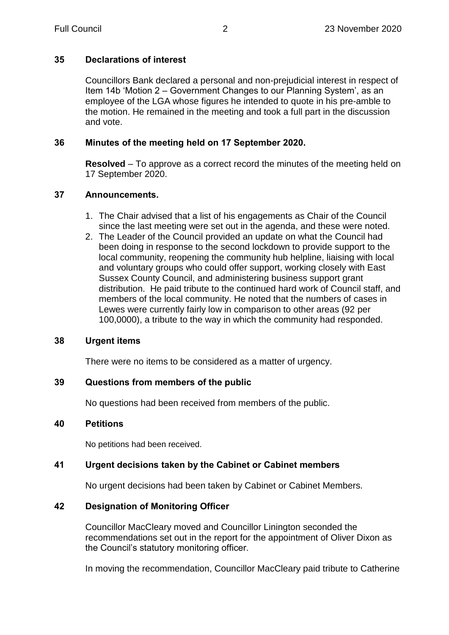# **35 Declarations of interest**

Councillors Bank declared a personal and non-prejudicial interest in respect of Item 14b 'Motion 2 – Government Changes to our Planning System', as an employee of the LGA whose figures he intended to quote in his pre-amble to the motion. He remained in the meeting and took a full part in the discussion and vote.

# **36 Minutes of the meeting held on 17 September 2020.**

**Resolved** – To approve as a correct record the minutes of the meeting held on 17 September 2020.

# **37 Announcements.**

- 1. The Chair advised that a list of his engagements as Chair of the Council since the last meeting were set out in the agenda, and these were noted.
- 2. The Leader of the Council provided an update on what the Council had been doing in response to the second lockdown to provide support to the local community, reopening the community hub helpline, liaising with local and voluntary groups who could offer support, working closely with East Sussex County Council, and administering business support grant distribution. He paid tribute to the continued hard work of Council staff, and members of the local community. He noted that the numbers of cases in Lewes were currently fairly low in comparison to other areas (92 per 100,0000), a tribute to the way in which the community had responded.

# **38 Urgent items**

There were no items to be considered as a matter of urgency.

# **39 Questions from members of the public**

No questions had been received from members of the public.

# **40 Petitions**

No petitions had been received.

# **41 Urgent decisions taken by the Cabinet or Cabinet members**

No urgent decisions had been taken by Cabinet or Cabinet Members.

# **42 Designation of Monitoring Officer**

Councillor MacCleary moved and Councillor Linington seconded the recommendations set out in the report for the appointment of Oliver Dixon as the Council's statutory monitoring officer.

In moving the recommendation, Councillor MacCleary paid tribute to Catherine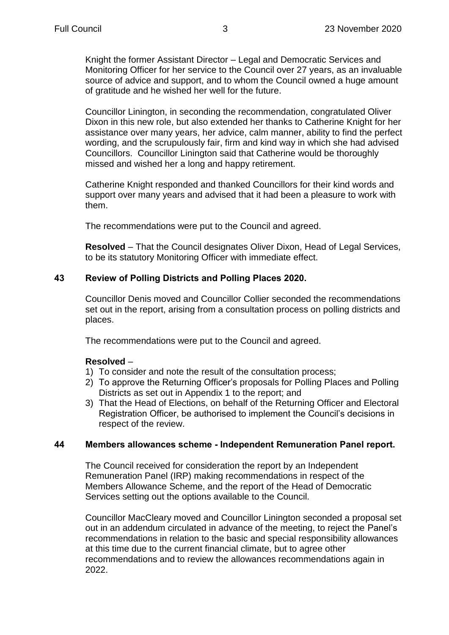Knight the former Assistant Director – Legal and Democratic Services and Monitoring Officer for her service to the Council over 27 years, as an invaluable source of advice and support, and to whom the Council owned a huge amount of gratitude and he wished her well for the future.

Councillor Linington, in seconding the recommendation, congratulated Oliver Dixon in this new role, but also extended her thanks to Catherine Knight for her assistance over many years, her advice, calm manner, ability to find the perfect wording, and the scrupulously fair, firm and kind way in which she had advised Councillors. Councillor Linington said that Catherine would be thoroughly missed and wished her a long and happy retirement.

Catherine Knight responded and thanked Councillors for their kind words and support over many years and advised that it had been a pleasure to work with them.

The recommendations were put to the Council and agreed.

**Resolved** – That the Council designates Oliver Dixon, Head of Legal Services, to be its statutory Monitoring Officer with immediate effect.

# **43 Review of Polling Districts and Polling Places 2020.**

Councillor Denis moved and Councillor Collier seconded the recommendations set out in the report, arising from a consultation process on polling districts and places.

The recommendations were put to the Council and agreed.

#### **Resolved** –

- 1) To consider and note the result of the consultation process;
- 2) To approve the Returning Officer's proposals for Polling Places and Polling Districts as set out in Appendix 1 to the report; and
- 3) That the Head of Elections, on behalf of the Returning Officer and Electoral Registration Officer, be authorised to implement the Council's decisions in respect of the review.

# **44 Members allowances scheme - Independent Remuneration Panel report.**

The Council received for consideration the report by an Independent Remuneration Panel (IRP) making recommendations in respect of the Members Allowance Scheme, and the report of the Head of Democratic Services setting out the options available to the Council.

Councillor MacCleary moved and Councillor Linington seconded a proposal set out in an addendum circulated in advance of the meeting, to reject the Panel's recommendations in relation to the basic and special responsibility allowances at this time due to the current financial climate, but to agree other recommendations and to review the allowances recommendations again in 2022.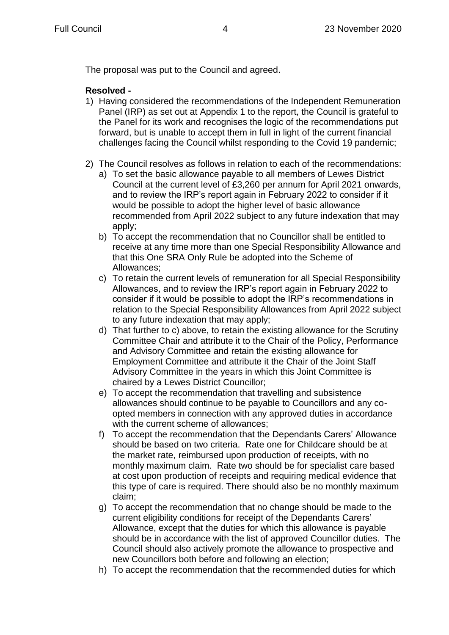The proposal was put to the Council and agreed.

# **Resolved -**

- 1) Having considered the recommendations of the Independent Remuneration Panel (IRP) as set out at Appendix 1 to the report, the Council is grateful to the Panel for its work and recognises the logic of the recommendations put forward, but is unable to accept them in full in light of the current financial challenges facing the Council whilst responding to the Covid 19 pandemic;
- 2) The Council resolves as follows in relation to each of the recommendations:
	- a) To set the basic allowance payable to all members of Lewes District Council at the current level of £3,260 per annum for April 2021 onwards, and to review the IRP's report again in February 2022 to consider if it would be possible to adopt the higher level of basic allowance recommended from April 2022 subject to any future indexation that may apply;
	- b) To accept the recommendation that no Councillor shall be entitled to receive at any time more than one Special Responsibility Allowance and that this One SRA Only Rule be adopted into the Scheme of Allowances;
	- c) To retain the current levels of remuneration for all Special Responsibility Allowances, and to review the IRP's report again in February 2022 to consider if it would be possible to adopt the IRP's recommendations in relation to the Special Responsibility Allowances from April 2022 subject to any future indexation that may apply;
	- d) That further to c) above, to retain the existing allowance for the Scrutiny Committee Chair and attribute it to the Chair of the Policy, Performance and Advisory Committee and retain the existing allowance for Employment Committee and attribute it the Chair of the Joint Staff Advisory Committee in the years in which this Joint Committee is chaired by a Lewes District Councillor;
	- e) To accept the recommendation that travelling and subsistence allowances should continue to be payable to Councillors and any coopted members in connection with any approved duties in accordance with the current scheme of allowances;
	- f) To accept the recommendation that the Dependants Carers' Allowance should be based on two criteria. Rate one for Childcare should be at the market rate, reimbursed upon production of receipts, with no monthly maximum claim. Rate two should be for specialist care based at cost upon production of receipts and requiring medical evidence that this type of care is required. There should also be no monthly maximum claim;
	- g) To accept the recommendation that no change should be made to the current eligibility conditions for receipt of the Dependants Carers' Allowance, except that the duties for which this allowance is payable should be in accordance with the list of approved Councillor duties. The Council should also actively promote the allowance to prospective and new Councillors both before and following an election;
	- h) To accept the recommendation that the recommended duties for which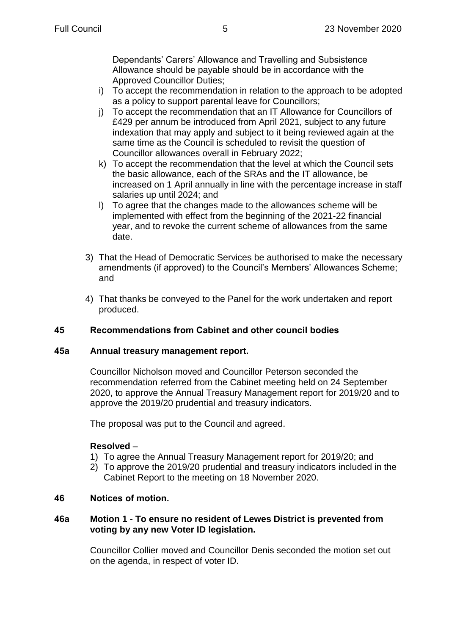Dependants' Carers' Allowance and Travelling and Subsistence Allowance should be payable should be in accordance with the Approved Councillor Duties;

- i) To accept the recommendation in relation to the approach to be adopted as a policy to support parental leave for Councillors;
- j) To accept the recommendation that an IT Allowance for Councillors of £429 per annum be introduced from April 2021, subject to any future indexation that may apply and subject to it being reviewed again at the same time as the Council is scheduled to revisit the question of Councillor allowances overall in February 2022;
- k) To accept the recommendation that the level at which the Council sets the basic allowance, each of the SRAs and the IT allowance, be increased on 1 April annually in line with the percentage increase in staff salaries up until 2024; and
- l) To agree that the changes made to the allowances scheme will be implemented with effect from the beginning of the 2021-22 financial year, and to revoke the current scheme of allowances from the same date.
- 3) That the Head of Democratic Services be authorised to make the necessary amendments (if approved) to the Council's Members' Allowances Scheme; and
- 4) That thanks be conveyed to the Panel for the work undertaken and report produced.

# **45 Recommendations from Cabinet and other council bodies**

# **45a Annual treasury management report.**

Councillor Nicholson moved and Councillor Peterson seconded the recommendation referred from the Cabinet meeting held on 24 September 2020, to approve the Annual Treasury Management report for 2019/20 and to approve the 2019/20 prudential and treasury indicators.

The proposal was put to the Council and agreed.

# **Resolved** –

- 1) To agree the Annual Treasury Management report for 2019/20; and
- 2) To approve the 2019/20 prudential and treasury indicators included in the Cabinet Report to the meeting on 18 November 2020.

# **46 Notices of motion.**

# **46a Motion 1 - To ensure no resident of Lewes District is prevented from voting by any new Voter ID legislation.**

Councillor Collier moved and Councillor Denis seconded the motion set out on the agenda, in respect of voter ID.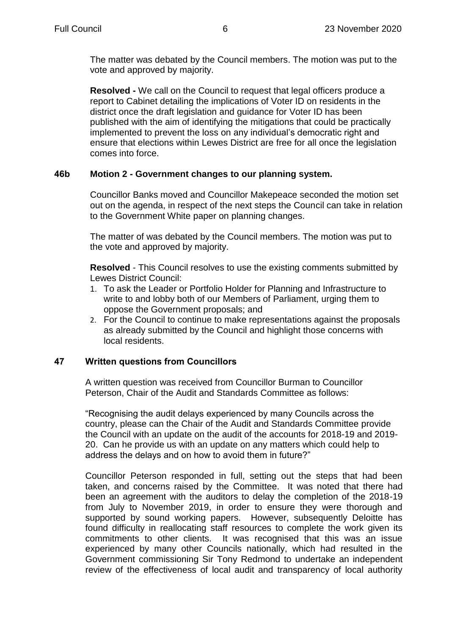The matter was debated by the Council members. The motion was put to the vote and approved by majority.

**Resolved -** We call on the Council to request that legal officers produce a report to Cabinet detailing the implications of Voter ID on residents in the district once the draft legislation and guidance for Voter ID has been published with the aim of identifying the mitigations that could be practically implemented to prevent the loss on any individual's democratic right and ensure that elections within Lewes District are free for all once the legislation comes into force.

# **46b Motion 2 - Government changes to our planning system.**

Councillor Banks moved and Councillor Makepeace seconded the motion set out on the agenda, in respect of the next steps the Council can take in relation to the Government White paper on planning changes.

The matter of was debated by the Council members. The motion was put to the vote and approved by majority.

**Resolved** - This Council resolves to use the existing comments submitted by Lewes District Council:

- 1. To ask the Leader or Portfolio Holder for Planning and Infrastructure to write to and lobby both of our Members of Parliament, urging them to oppose the Government proposals; and
- 2. For the Council to continue to make representations against the proposals as already submitted by the Council and highlight those concerns with local residents.

# **47 Written questions from Councillors**

A written question was received from Councillor Burman to Councillor Peterson, Chair of the Audit and Standards Committee as follows:

"Recognising the audit delays experienced by many Councils across the country, please can the Chair of the Audit and Standards Committee provide the Council with an update on the audit of the accounts for 2018-19 and 2019- 20. Can he provide us with an update on any matters which could help to address the delays and on how to avoid them in future?"

Councillor Peterson responded in full, setting out the steps that had been taken, and concerns raised by the Committee. It was noted that there had been an agreement with the auditors to delay the completion of the 2018-19 from July to November 2019, in order to ensure they were thorough and supported by sound working papers. However, subsequently Deloitte has found difficulty in reallocating staff resources to complete the work given its commitments to other clients. It was recognised that this was an issue experienced by many other Councils nationally, which had resulted in the Government commissioning Sir Tony Redmond to undertake an independent review of the effectiveness of local audit and transparency of local authority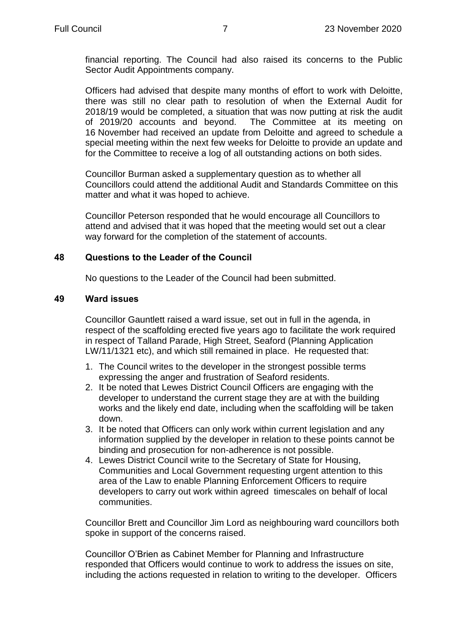financial reporting. The Council had also raised its concerns to the Public Sector Audit Appointments company.

Officers had advised that despite many months of effort to work with Deloitte, there was still no clear path to resolution of when the External Audit for 2018/19 would be completed, a situation that was now putting at risk the audit of 2019/20 accounts and beyond. The Committee at its meeting on 16 November had received an update from Deloitte and agreed to schedule a special meeting within the next few weeks for Deloitte to provide an update and for the Committee to receive a log of all outstanding actions on both sides.

Councillor Burman asked a supplementary question as to whether all Councillors could attend the additional Audit and Standards Committee on this matter and what it was hoped to achieve.

Councillor Peterson responded that he would encourage all Councillors to attend and advised that it was hoped that the meeting would set out a clear way forward for the completion of the statement of accounts.

#### **48 Questions to the Leader of the Council**

No questions to the Leader of the Council had been submitted.

#### **49 Ward issues**

Councillor Gauntlett raised a ward issue, set out in full in the agenda, in respect of the scaffolding erected five years ago to facilitate the work required in respect of Talland Parade, High Street, Seaford (Planning Application LW/11/1321 etc), and which still remained in place. He requested that:

- 1. The Council writes to the developer in the strongest possible terms expressing the anger and frustration of Seaford residents.
- 2. It be noted that Lewes District Council Officers are engaging with the developer to understand the current stage they are at with the building works and the likely end date, including when the scaffolding will be taken down.
- 3. It be noted that Officers can only work within current legislation and any information supplied by the developer in relation to these points cannot be binding and prosecution for non-adherence is not possible.
- 4. Lewes District Council write to the Secretary of State for Housing, Communities and Local Government requesting urgent attention to this area of the Law to enable Planning Enforcement Officers to require developers to carry out work within agreed timescales on behalf of local communities.

Councillor Brett and Councillor Jim Lord as neighbouring ward councillors both spoke in support of the concerns raised.

Councillor O'Brien as Cabinet Member for Planning and Infrastructure responded that Officers would continue to work to address the issues on site, including the actions requested in relation to writing to the developer. Officers